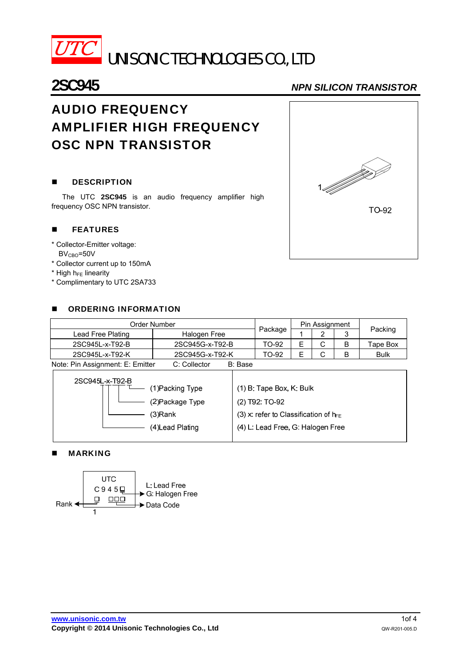

## **2SC945** *NPN SILICON TRANSISTOR*

# AUDIO FREQUENCY AMPLIFIER HIGH FREQUENCY OSC NPN TRANSISTOR

### **DESCRIPTION**

The UTC **2SC945** is an audio frequency amplifier high frequency OSC NPN transistor.

#### **FEATURES**

- \* Collector-Emitter voltage:
- $BV<sub>CBO</sub>=50V$
- \* Collector current up to 150mA
- $*$  High h $_{FE}$  linearity
- \* Complimentary to UTC 2SA733

#### **B** ORDERING INFORMATION

| Order Number                     |                         |         | Pin Assignment |   |   |             |  |
|----------------------------------|-------------------------|---------|----------------|---|---|-------------|--|
| Lead Free Plating                | Halogen Free            | Package |                |   | 3 | Packing     |  |
| 2SC945L-x-T92-B                  | 2SC945G-x-T92-B         | TO-92   |                | ٮ | B | Tape Box    |  |
| 2SC945L-x-T92-K                  | 2SC945G-x-T92-K         | TO-92   |                |   | В | <b>Bulk</b> |  |
| Note: Pin Assignment: E: Emitter | C: Collector<br>B: Base |         |                |   |   |             |  |

| 2SC945L-x-T92-B | 1)Packing Type   | $(1)$ B: Tape Box, K: Bulk                 |
|-----------------|------------------|--------------------------------------------|
|                 | (2)Package Type  | $(2)$ T92: TO-92                           |
| (3)Rank         |                  | (3) x: refer to Classification of $h_{FE}$ |
|                 | (4) Lead Plating | (4) L: Lead Free, G: Halogen Free          |

#### **MARKING**



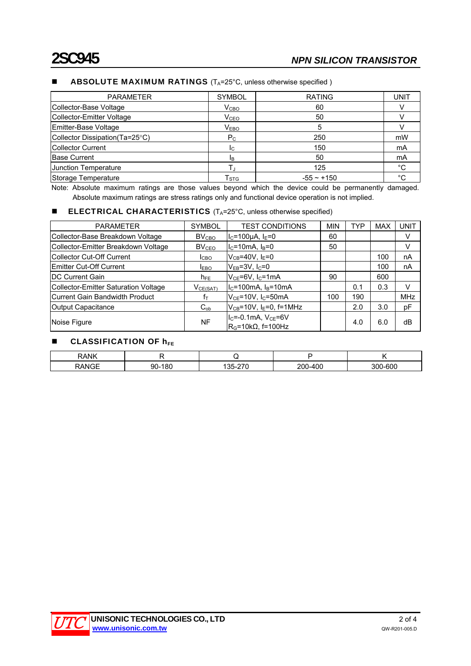#### **ABSOLUTE MAXIMUM RATINGS**  $(T_A=25^{\circ}C,$  unless otherwise specified )

| <b>PARAMETER</b>               | <b>SYMBOL</b>             | <b>RATING</b> | UNIT        |
|--------------------------------|---------------------------|---------------|-------------|
| Collector-Base Voltage         | V <sub>CBO</sub>          | 60            |             |
| Collector-Emitter Voltage      | V <sub>CEO</sub>          | 50            |             |
| Emitter-Base Voltage           | V <sub>EBO</sub>          | 5             |             |
| Collector Dissipation(Ta=25°C) | $P_{C}$                   | 250           | mW          |
| Collector Current              | Ic.                       | 150           | mA          |
| <b>Base Current</b>            | Iв.                       | 50            | mA          |
| Junction Temperature           |                           | 125           | $^{\circ}C$ |
| Storage Temperature            | $\mathsf{T}_{\text{STG}}$ | $-55 - +150$  | °C          |

Note: Absolute maximum ratings are those values beyond which the device could be permanently damaged. Absolute maximum ratings are stress ratings only and functional device operation is not implied.

#### **ELECTRICAL CHARACTERISTICS**  $(T_A = 25^\circ C, \text{ unless otherwise specified})$

| <b>PARAMETER</b>                            | <b>SYMBOL</b>     | <b>TEST CONDITIONS</b>                          | <b>MIN</b> | TYP | <b>MAX</b> | <b>UNIT</b> |
|---------------------------------------------|-------------------|-------------------------------------------------|------------|-----|------------|-------------|
| Collector-Base Breakdown Voltage            | BV <sub>CBO</sub> | $I_c = 100 \mu A$ , $I_E = 0$                   | 60         |     |            | V           |
| Collector-Emitter Breakdown Voltage         | $BV_{CEO}$        | $IC=10mA, IB=0$                                 | 50         |     |            | V           |
| <b>Collector Cut-Off Current</b>            | Iсво              | $V_{CB} = 40V$ , I <sub>E</sub> =0              |            |     | 100        | nA          |
| <b>Emitter Cut-Off Current</b>              | <b>IEBO</b>       | $V_{EB}$ =3V, I $_C$ =0                         |            |     | 100        | nA          |
| <b>DC Current Gain</b>                      | $h_{FE}$          | $V_{CE}$ =6V, $I_C$ =1mA                        | 90         |     | 600        |             |
| <b>Collector-Emitter Saturation Voltage</b> | $V_{CE(SAT)}$     | $IC=100mA$ , $IB=10mA$                          |            | 0.1 | 0.3        | V           |
| Current Gain Bandwidth Product              | Ťт                | $V_{CE}$ =10V, I <sub>C</sub> =50mA             | 100        | 190 |            | <b>MHz</b>  |
| <b>Output Capacitance</b>                   | $C_{ob}$          | $V_{CB}$ =10V, I <sub>E</sub> =0, f=1MHz        |            | 2.0 | 3.0        | рF          |
| Noise Figure                                | <b>NF</b>         | $IC=-0.1mA, VCE=6V$<br>$RG=10k\Omega$ . f=100Hz |            | 4.0 | 6.0        | dB          |

#### $\blacksquare$  CLASSIFICATION OF  $h_{FE}$

| RANK       |    |  |      |
|------------|----|--|------|
| $\sim$ $-$ | nr |  | -600 |

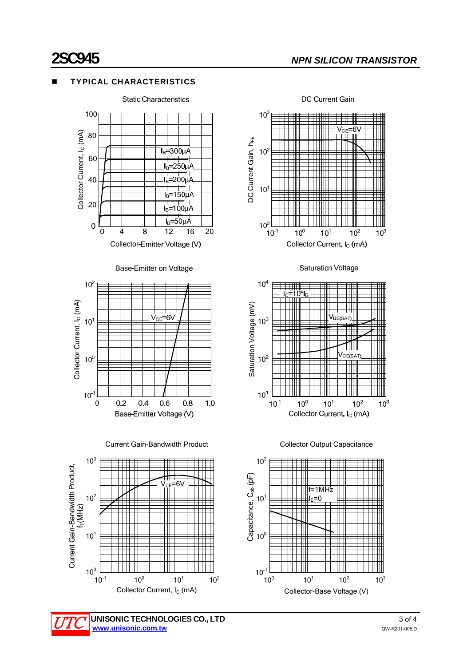### TYPICAL CHARACTERISTICS



Base-Emitter on Voltage